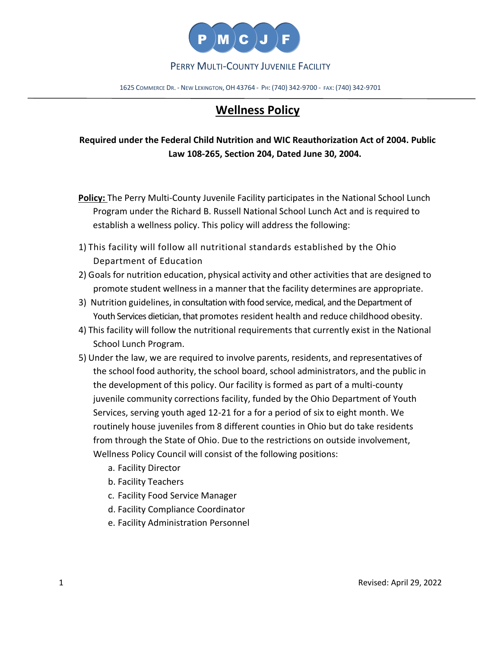

### PERRY MULTI-COUNTY JUVENILE FACILITY

1625 COMMERCE DR. - NEW LEXINGTON, OH 43764 - PH: (740) 342-9700 - FAX: (740) 342-9701

# **Wellness Policy**

## **Required under the Federal Child Nutrition and WIC Reauthorization Act of 2004. Public Law 108-265, Section 204, Dated June 30, 2004.**

- **Policy:** The Perry Multi-County Juvenile Facility participates in the National School Lunch Program under the Richard B. Russell National School Lunch Act and is required to establish a wellness policy. This policy will address the following:
- 1) This facility will follow all nutritional standards established by the Ohio Department of Education
- 2) Goals for nutrition education, physical activity and other activities that are designed to promote student wellness in a manner that the facility determines are appropriate.
- 3) Nutrition guidelines, in consultation with food service, medical, and the Department of Youth Services dietician, that promotes resident health and reduce childhood obesity.
- 4) This facility will follow the nutritional requirements that currently exist in the National School Lunch Program.
- 5) Under the law, we are required to involve parents, residents, and representatives of the school food authority, the school board, school administrators, and the public in the development of this policy. Our facility is formed as part of a multi-county juvenile community corrections facility, funded by the Ohio Department of Youth Services, serving youth aged 12-21 for a for a period of six to eight month. We routinely house juveniles from 8 different counties in Ohio but do take residents from through the State of Ohio. Due to the restrictions on outside involvement, Wellness Policy Council will consist of the following positions:
	- a. Facility Director
	- b. Facility Teachers
	- c. Facility Food Service Manager
	- d. Facility Compliance Coordinator
	- e. Facility Administration Personnel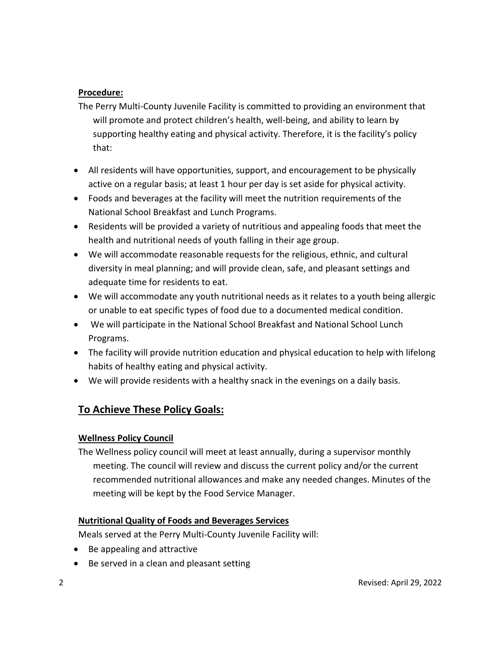#### **Procedure:**

- The Perry Multi-County Juvenile Facility is committed to providing an environment that will promote and protect children's health, well-being, and ability to learn by supporting healthy eating and physical activity. Therefore, it is the facility's policy that:
- All residents will have opportunities, support, and encouragement to be physically active on a regular basis; at least 1 hour per day is set aside for physical activity.
- Foods and beverages at the facility will meet the nutrition requirements of the National School Breakfast and Lunch Programs.
- Residents will be provided a variety of nutritious and appealing foods that meet the health and nutritional needs of youth falling in their age group.
- We will accommodate reasonable requests for the religious, ethnic, and cultural diversity in meal planning; and will provide clean, safe, and pleasant settings and adequate time for residents to eat.
- We will accommodate any youth nutritional needs as it relates to a youth being allergic or unable to eat specific types of food due to a documented medical condition.
- We will participate in the National School Breakfast and National School Lunch Programs.
- The facility will provide nutrition education and physical education to help with lifelong habits of healthy eating and physical activity.
- We will provide residents with a healthy snack in the evenings on a daily basis.

## **To Achieve These Policy Goals:**

#### **Wellness Policy Council**

The Wellness policy council will meet at least annually, during a supervisor monthly meeting. The council will review and discuss the current policy and/or the current recommended nutritional allowances and make any needed changes. Minutes of the meeting will be kept by the Food Service Manager.

#### **Nutritional Quality of Foods and Beverages Services**

Meals served at the Perry Multi-County Juvenile Facility will:

- Be appealing and attractive
- Be served in a clean and pleasant setting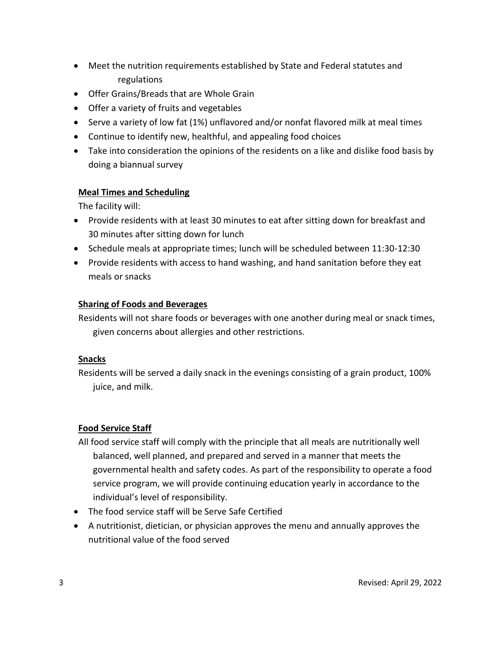- Meet the nutrition requirements established by State and Federal statutes and regulations
- Offer Grains/Breads that are Whole Grain
- Offer a variety of fruits and vegetables
- Serve a variety of low fat (1%) unflavored and/or nonfat flavored milk at meal times
- Continue to identify new, healthful, and appealing food choices
- Take into consideration the opinions of the residents on a like and dislike food basis by doing a biannual survey

#### **Meal Times and Scheduling**

The facility will:

- Provide residents with at least 30 minutes to eat after sitting down for breakfast and 30 minutes after sitting down for lunch
- Schedule meals at appropriate times; lunch will be scheduled between 11:30-12:30
- Provide residents with access to hand washing, and hand sanitation before they eat meals or snacks

#### **Sharing of Foods and Beverages**

Residents will not share foods or beverages with one another during meal or snack times, given concerns about allergies and other restrictions.

#### **Snacks**

Residents will be served a daily snack in the evenings consisting of a grain product, 100% juice, and milk.

#### **Food Service Staff**

- All food service staff will comply with the principle that all meals are nutritionally well balanced, well planned, and prepared and served in a manner that meets the governmental health and safety codes. As part of the responsibility to operate a food service program, we will provide continuing education yearly in accordance to the individual's level of responsibility.
- The food service staff will be Serve Safe Certified
- A nutritionist, dietician, or physician approves the menu and annually approves the nutritional value of the food served